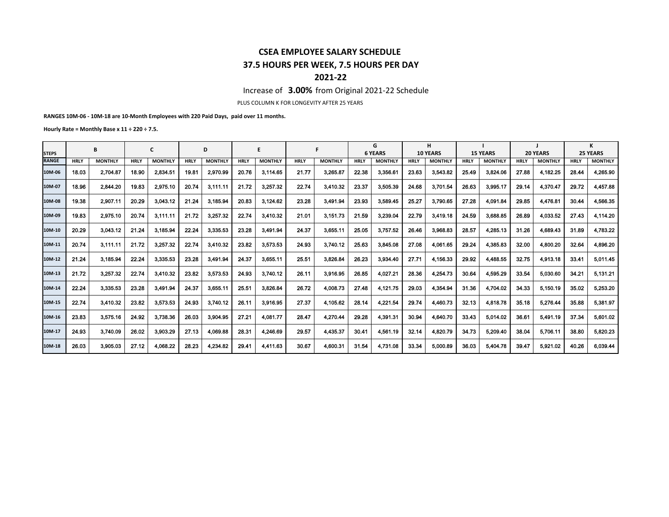# **CSEA EMPLOYEE SALARY SCHEDULE 37.5 HOURS PER WEEK, 7.5 HOURS PER DAY 2021‐22**

Increase of **3.00%** from Original 2021‐22 Schedule

PLUS COLUMN K FOR LONGEVITY AFTER 25 YEARS

RANGES 10M-06 - 10M-18 are 10-Month Employees with 220 Paid Days, paid over 11 months.

**Hourly Rate <sup>=</sup> Monthly Base <sup>x</sup> 11 <sup>÷</sup> 220 <sup>÷</sup> 7.5.**

|              |             | В              |             | C              |             | D             |             | E              |             | F              |             | G              |             | н               |             |                 |             |                 |             | K               |
|--------------|-------------|----------------|-------------|----------------|-------------|---------------|-------------|----------------|-------------|----------------|-------------|----------------|-------------|-----------------|-------------|-----------------|-------------|-----------------|-------------|-----------------|
| <b>STEPS</b> |             |                |             |                |             |               |             |                |             |                |             | <b>6 YEARS</b> |             | <b>10 YEARS</b> |             | <b>15 YEARS</b> |             | <b>20 YEARS</b> |             | <b>25 YEARS</b> |
| <b>RANGE</b> | <b>HRLY</b> | <b>MONTHLY</b> | <b>HRLY</b> | <b>MONTHLY</b> | <b>HRLY</b> | <b>MONTHL</b> | <b>HRLY</b> | <b>MONTHLY</b> | <b>HRLY</b> | <b>MONTHLY</b> | <b>HRLY</b> | <b>MONTHLY</b> | <b>HRLY</b> | <b>MONTHLY</b>  | <b>HRLY</b> | <b>MONTHLY</b>  | <b>HRLY</b> | <b>MONTHLY</b>  | <b>HRLY</b> | <b>MONTHLY</b>  |
| 10M-06       | 18.03       | 2,704.87       | 18.90       | 2,834.51       | 19.81       | 2,970.99      | 20.76       | 3.114.65       | 21.77       | 3,265.87       | 22.38       | 3,356.6        | 23.63       | 3,543.82        | 25.49       | 3,824.06        | 27.88       | 4,182.25        | 28.44       | 4.265.90        |
| 10M-07       | 18.96       | 2.844.20       | 19.83       | 2,975.10       | 20.74       | 3.111.11      | 21.72       | 3,257.32       | 22.74       | 3,410.32       | 23.37       | 3,505.39       | 24.68       | 3,701.54        | 26.63       | 3,995.17        | 29.14       | 4,370.47        | 29.72       | 4.457.88        |
| 10M-08       | 19.38       | 2.907.11       | 20.29       | 3.043.12       | 21.24       | 3.185.94      | 20.83       | 3.124.62       | 23.28       | 3.491.94       | 23.93       | 3.589.45       | 25.27       | 3.790.65        | 27.28       | 4.091.84        | 29.85       | 4,476.81        | 30.44       | 4.566.35        |
| 10M-09       | 19.83       | 2.975.10       | 20.74       | 3.111.11       | 21.72       | 3.257.32      | 22.74       | 3.410.32       | 21.01       | 3.151.73       | 21.59       | 3.239.04       | 22.79       | 3.419.18        | 24.59       | 3,688.85        | 26.89       | 4.033.52        | 27.43       | 4.114.20        |
| 10M-10       | 20.29       | 3.043.12       | 21.24       | 3.185.94       | 22.24       | 3,335.53      | 23.28       | 3.491.94       | 24.37       | 3,655.11       | 25.05       | 3.757.52       | 26.46       | 3,968.83        | 28.57       | 4.285.13        | 31.26       | 4,689.43        | 31.89       | 4.783.22        |
| 10M-11       | 20.74       | 3,111.11       | 21.72       | 3,257.32       | 22.74       | 3,410.32      | 23.82       | 3,573.53       | 24.93       | 3,740.12       | 25.63       | 3,845.08       | 27.08       | 4,061.65        | 29.24       | 4,385.83        | 32.00       | 4,800.20        | 32.64       | 4,896.20        |
| 10M-12       | 21.24       | 3,185.94       | 22.24       | 3,335.53       | 23.28       | 3,491.94      | 24.37       | 3,655.11       | 25.51       | 3,826.84       | 26.23       | 3,934.40       | 27.71       | 4,156.33        | 29.92       | 4,488.55        | 32.75       | 4,913.18        | 33.41       | 5,011.45        |
| 10M-13       | 21.72       | 3.257.32       | 22.74       | 3.410.32       | 23.82       | 3.573.53      | 24.93       | 3.740.12       | 26.11       | 3,916.95       | 26.85       | 4.027.2        | 28.36       | 4.254.73        | 30.64       | 4.595.29        | 33.54       | 5,030.60        | 34.21       | 5.131.21        |
| 10M-14       | 22.24       | 3.335.53       | 23.28       | 3.491.94       | 24.37       | 3,655.11      | 25.51       | 3.826.84       | 26.72       | 4.008.73       | 27.48       | 4,121.75       | 29.03       | 4.354.94        | 31.36       | 4.704.02        | 34.33       | 5,150.19        | 35.02       | 5.253.20        |
| 10M-15       | 22.74       | 3,410.32       | 23.82       | 3,573.53       | 24.93       | 3,740.12      | 26.11       | 3,916.95       | 27.37       | 4,105.62       | 28.14       | 4.221.54       | 29.74       | 4,460.73        | 32.13       | 4,818.78        | 35.18       | 5,276.44        | 35.88       | 5,381.97        |
| 10M-16       | 23.83       | 3,575.16       | 24.92       | 3,738.36       | 26.03       | 3,904.95      | 27.21       | 4.081.77       | 28.47       | 4,270.44       | 29.28       | 4,391.31       | 30.94       | 4,640.70        | 33.43       | 5,014.02        | 36.61       | 5,491.19        | 37.34       | 5,601.02        |
| 10M-17       | 24.93       | 3,740.09       | 26.02       | 3,903.29       | 27.13       | 4,069.88      | 28.31       | 4.246.69       | 29.57       | 4,435.37       | 30.41       | 4,561.19       | 32.14       | 4,820.79        | 34.73       | 5,209.40        | 38.04       | 5,706.11        | 38.80       | 5.820.23        |
| 10M-18       | 26.03       | 3.905.03       | 27.12       | 4.068.22       | 28.23       | 4.234.82      | 29.41       | 4.411.63       | 30.67       | 4,600.31       | 31.54       | 4.731.08       | 33.34       | 5,000.89        | 36.03       | 5.404.78        | 39.47       | 5.921.02        | 40.26       | 6.039.44        |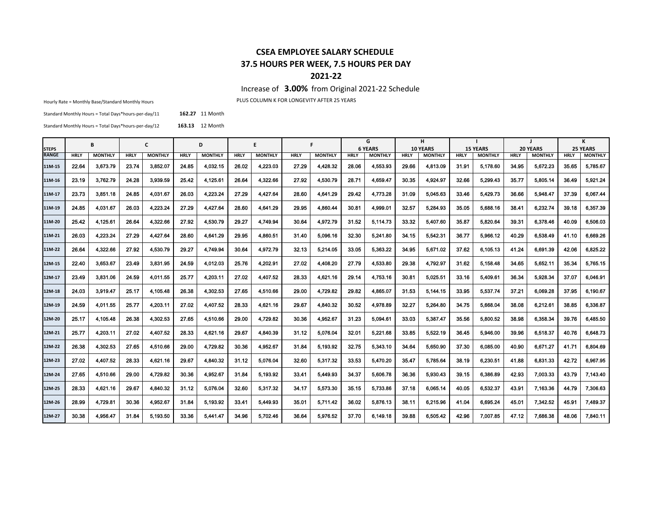### **CSEA EMPLOYEE SALARY SCHEDULE 37.5 HOURS PER WEEK, 7.5 HOURS PER DAY 2021‐22**

Increase of **3.00%** from Original 2021‐22 Schedule

Hourly Rate = Monthly Base/Standard Monthly Hours **PLUS COLUMN K FOR LONGEVITY AFTER 25 YEARS** 

Standard Monthly Hours <sup>=</sup> Total Days\*hours‐per‐day/11 **162.27** 11 Month

Standard Monthly Hours <sup>=</sup> Total Days\*hours‐per‐day/12 **163.13** 12 Month

| <b>STEPS</b> |             | B              |             | $\mathbf{C}$   |             | D              |             | E              |             | F.             |             | G<br><b>6 YEARS</b> |             | н<br><b>10 YEARS</b> |             | <b>15 YEARS</b> |             | $\mathbf{I}$<br><b>20 YEARS</b> |             | К<br>25 YEARS  |
|--------------|-------------|----------------|-------------|----------------|-------------|----------------|-------------|----------------|-------------|----------------|-------------|---------------------|-------------|----------------------|-------------|-----------------|-------------|---------------------------------|-------------|----------------|
| <b>RANGE</b> | <b>HRLY</b> | <b>MONTHLY</b> | <b>HRLY</b> | <b>MONTHLY</b> | <b>HRLY</b> | <b>MONTHLY</b> | <b>HRLY</b> | <b>MONTHLY</b> | <b>HRLY</b> | <b>MONTHLY</b> | <b>HRLY</b> | <b>MONTHLY</b>      | <b>HRLY</b> | <b>MONTHLY</b>       | <b>HRLY</b> | <b>MONTHLY</b>  | <b>HRLY</b> | <b>MONTHLY</b>                  | <b>HRLY</b> | <b>MONTHLY</b> |
| 11M-15       | 22.64       | 3,673.79       | 23.74       | 3.852.07       | 24.85       | 4,032.15       | 26.02       | 4,223.03       | 27.29       | 4,428.32       | 28.06       | 4.553.93            | 29.66       | 4,813.09             | 31.91       | 5,178.60        | 34.95       | 5,672.23                        | 35.65       | 5,785.67       |
| 11M-16       | 23.19       | 3.762.79       | 24.28       | 3.939.59       | 25.42       | 4.125.61       | 26.64       | 4.322.66       | 27.92       | 4.530.79       | 28.71       | 4.659.47            | 30.35       | 4.924.97             | 32.66       | 5.299.43        | 35.77       | 5.805.14                        | 36.49       | 5.921.24       |
| 11M-17       | 23.73       | 3.851.18       | 24.85       | 4.031.67       | 26.03       | 4.223.24       | 27.29       | 4.427.64       | 28.60       | 4.641.29       | 29.42       | 4.773.28            | 31.09       | 5.045.63             | 33.46       | 5.429.73        | 36.66       | 5.948.47                        | 37.39       | 6.067.44       |
| 11M-19       | 24.85       | 4.031.67       | 26.03       | 4.223.24       | 27.29       | 4.427.64       | 28.60       | 4.641.29       | 29.95       | 4.860.44       | 30.81       | 4.999.01            | 32.57       | 5.284.93             | 35.05       | 5,688.16        | 38.41       | 6.232.74                        | 39.18       | 6.357.39       |
| 11M-20       | 25.42       | 4,125.61       | 26.64       | 4.322.66       | 27.92       | 4.530.79       | 29.27       | 4.749.94       | 30.64       | 4.972.79       | 31.52       | 5.114.73            | 33.32       | 5,407.60             | 35.87       | 5,820.64        | 39.31       | 6,378.46                        | 40.09       | 6,506.03       |
| 11M-21       | 26.03       | 4,223.24       | 27.29       | 4.427.64       | 28.60       | 4,641.29       | 29.95       | 4,860.51       | 31.40       | 5,096.16       | 32.30       | 5.241.80            | 34.15       | 5,542.31             | 36.77       | 5,966.12        | 40.29       | 6,538.49                        | 41.10       | 6,669.26       |
| 11M-22       | 26.64       | 4.322.66       | 27.92       | 4.530.79       | 29.27       | 4.749.94       | 30.64       | 4.972.79       | 32.13       | 5.214.05       | 33.05       | 5.363.22            | 34.95       | 5.671.02             | 37.62       | 6.105.13        | 41.24       | 6.691.39                        | 42.06       | 6.825.22       |
| 12M-15       | 22.40       | 3,653.67       | 23.49       | 3.831.95       | 24.59       | 4.012.03       | 25.76       | 4.202.91       | 27.02       | 4.408.20       | 27.79       | 4,533.80            | 29.38       | 4.792.97             | 31.62       | 5.158.48        | 34.65       | 5.652.11                        | 35.34       | 5,765.15       |
| 12M-17       | 23.49       | 3.831.06       | 24.59       | 4.011.55       | 25.77       | 4.203.11       | 27.02       | 4.407.52       | 28.33       | 4.621.16       | 29.14       | 4.753.16            | 30.81       | 5.025.51             | 33.16       | 5.409.61        | 36.34       | 5.928.34                        | 37.07       | 6.046.91       |
| 12M-18       | 24.03       | 3.919.47       | 25.17       | 4.105.48       | 26.38       | 4.302.53       | 27.65       | 4.510.66       | 29.00       | 4,729.82       | 29.82       | 4.865.07            | 31.53       | 5,144.15             | 33.95       | 5,537.74        | 37.21       | 6.069.28                        | 37.95       | 6,190.67       |
| 12M-19       | 24.59       | 4.011.55       | 25.77       | 4.203.11       | 27.02       | 4.407.52       | 28.33       | 4.621.16       | 29.67       | 4.840.32       | 30.52       | 4.978.89            | 32.27       | 5,264.80             | 34.75       | 5.668.04        | 38.08       | 6.212.61                        | 38.85       | 6.336.87       |
| 12M-20       | 25.17       | 4.105.48       | 26.38       | 4.302.53       | 27.65       | 4,510.66       | 29.00       | 4.729.82       | 30.36       | 4.952.67       | 31.23       | 5,094.61            | 33.03       | 5,387.47             | 35.56       | 5,800.52        | 38.98       | 6,358.34                        | 39.76       | 6,485.50       |
| 12M-21       | 25.77       | 4,203.11       | 27.02       | 4.407.52       | 28.33       | 4.621.16       | 29.67       | 4.840.39       | 31.12       | 5.076.04       | 32.01       | 5.221.68            | 33.85       | 5.522.19             | 36.45       | 5.946.00        | 39.96       | 6,518.37                        | 40.76       | 6.648.73       |
| 12M-22       | 26.38       | 4,302.53       | 27.65       | 4.510.66       | 29.00       | 4,729.82       | 30.36       | 4.952.67       | 31.84       | 5,193.92       | 32.75       | 5,343.10            | 34.64       | 5,650.90             | 37.30       | 6.085.00        | 40.90       | 6,671.27                        | 41.71       | 6,804.69       |
| 12M-23       | 27.02       | 4.407.52       | 28.33       | 4,621.16       | 29.67       | 4,840.32       | 31.12       | 5.076.04       | 32.60       | 5,317.32       | 33.53       | 5,470.20            | 35.47       | 5,785.64             | 38.19       | 6,230.51        | 41.88       | 6.831.33                        | 42.72       | 6.967.95       |
| 12M-24       | 27.65       | 4.510.66       | 29.00       | 4.729.82       | 30.36       | 4.952.67       | 31.84       | 5.193.92       | 33.41       | 5.449.93       | 34.37       | 5.606.78            | 36.36       | 5.930.43             | 39.15       | 6.386.89        | 42.93       | 7.003.33                        | 43.79       | 7.143.40       |
| 12M-25       | 28.33       | 4.621.16       | 29.67       | 4.840.32       | 31.12       | 5.076.04       | 32.60       | 5.317.32       | 34.17       | 5,573,30       | 35.15       | 5.733.86            | 37.18       | 6.065.14             | 40.05       | 6.532.37        | 43.91       | 7.163.36                        | 44.79       | 7.306.63       |
| 12M-26       | 28.99       | 4,729.81       | 30.36       | 4.952.67       | 31.84       | 5.193.92       | 33.41       | 5,449.93       | 35.01       | 5.711.42       | 36.02       | 5,876.13            | 38.11       | 6,215.96             | 41.04       | 6.695.24        | 45.01       | 7.342.52                        | 45.91       | 7.489.37       |
| 12M-27       | 30.38       | 4,956.47       | 31.84       | 5.193.50       | 33.36       | 5,441.47       | 34.96       | 5,702.46       | 36.64       | 5,976.52       | 37.70       | 6,149.18            | 39.88       | 6,505.42             | 42.96       | 7,007.85        | 47.12       | 7,686.38                        | 48.06       | 7,840.11       |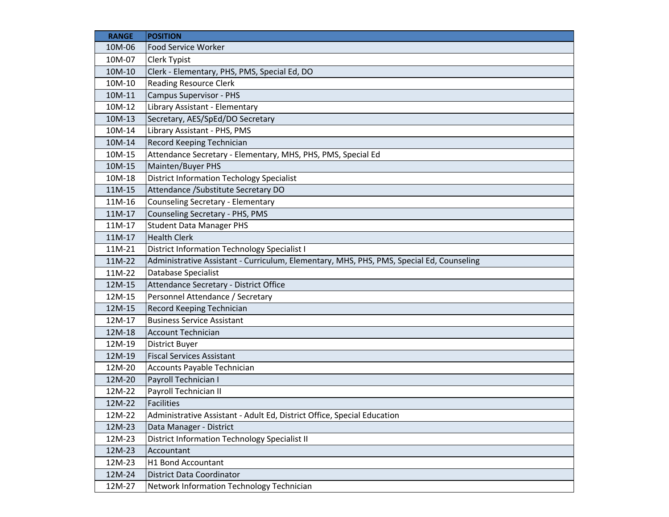| <b>RANGE</b> | <b>POSITION</b>                                                                          |
|--------------|------------------------------------------------------------------------------------------|
| 10M-06       | Food Service Worker                                                                      |
| 10M-07       | <b>Clerk Typist</b>                                                                      |
| 10M-10       | Clerk - Elementary, PHS, PMS, Special Ed, DO                                             |
| 10M-10       | <b>Reading Resource Clerk</b>                                                            |
| 10M-11       | Campus Supervisor - PHS                                                                  |
| 10M-12       | Library Assistant - Elementary                                                           |
| 10M-13       | Secretary, AES/SpEd/DO Secretary                                                         |
| 10M-14       | Library Assistant - PHS, PMS                                                             |
| 10M-14       | <b>Record Keeping Technician</b>                                                         |
| 10M-15       | Attendance Secretary - Elementary, MHS, PHS, PMS, Special Ed                             |
| 10M-15       | Mainten/Buyer PHS                                                                        |
| 10M-18       | <b>District Information Techology Specialist</b>                                         |
| 11M-15       | Attendance / Substitute Secretary DO                                                     |
| 11M-16       | <b>Counseling Secretary - Elementary</b>                                                 |
| 11M-17       | Counseling Secretary - PHS, PMS                                                          |
| 11M-17       | <b>Student Data Manager PHS</b>                                                          |
| 11M-17       | <b>Health Clerk</b>                                                                      |
| 11M-21       | <b>District Information Technology Specialist I</b>                                      |
| 11M-22       | Administrative Assistant - Curriculum, Elementary, MHS, PHS, PMS, Special Ed, Counseling |
| 11M-22       | Database Specialist                                                                      |
| 12M-15       | Attendance Secretary - District Office                                                   |
| 12M-15       | Personnel Attendance / Secretary                                                         |
| 12M-15       | Record Keeping Technician                                                                |
| 12M-17       | <b>Business Service Assistant</b>                                                        |
| 12M-18       | Account Technician                                                                       |
| 12M-19       | <b>District Buyer</b>                                                                    |
| 12M-19       | <b>Fiscal Services Assistant</b>                                                         |
| 12M-20       | <b>Accounts Payable Technician</b>                                                       |
| 12M-20       | Payroll Technician I                                                                     |
| 12M-22       | Payroll Technician II                                                                    |
| 12M-22       | Facilities                                                                               |
| 12M-22       | Administrative Assistant - Adult Ed, District Office, Special Education                  |
| 12M-23       | Data Manager - District                                                                  |
| 12M-23       | District Information Technology Specialist II                                            |
| 12M-23       | Accountant                                                                               |
| 12M-23       | H1 Bond Accountant                                                                       |
| 12M-24       | <b>District Data Coordinator</b>                                                         |
| 12M-27       | Network Information Technology Technician                                                |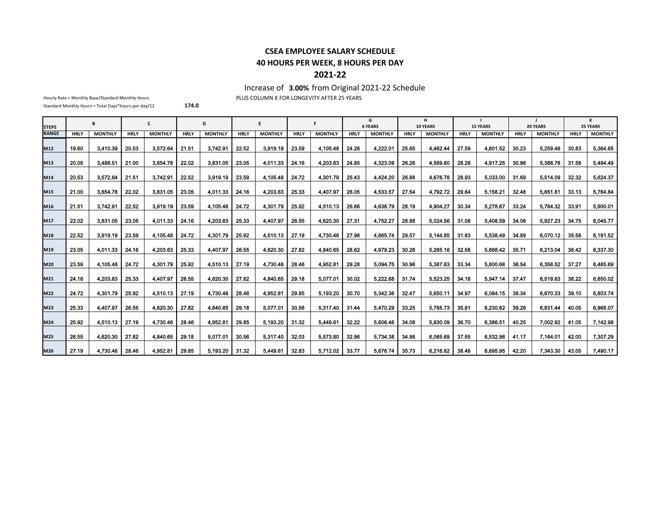# **CSEA EMPLOYEE SALARY SCHEDULE**

#### **40 HOURS PER WEEK, 8 HOURS PER DAY**

#### **2021‐22**

Increase of **3.00%** from Original 2021‐22 Schedule

Hourly Rate = Monthly Base/Standard Monthly Hours **PLUS COLUMN K FOR LONGEVITY AFTER 25 YEARS** 

Standard Monthly Hours <sup>=</sup> Total Days\*hours‐per‐day/12 **174.0**

|                              |             | B.             |             | C              |             | D              |             | E              |             | F              |             | G<br><b>6 YEARS</b> |             | н<br>10 YEARS  |             | <b>15 YEARS</b> |             | $\perp$<br>20 YEARS |             | к<br>25 YEARS  |
|------------------------------|-------------|----------------|-------------|----------------|-------------|----------------|-------------|----------------|-------------|----------------|-------------|---------------------|-------------|----------------|-------------|-----------------|-------------|---------------------|-------------|----------------|
| <b>STEPS</b><br><b>RANGE</b> |             |                |             |                |             |                |             |                |             |                |             |                     |             |                |             |                 |             |                     |             |                |
|                              | <b>HRLY</b> | <b>MONTHLY</b> | <b>HRLY</b> | <b>MONTHLY</b> | <b>HRLY</b> | <b>MONTHLY</b> | <b>HRLY</b> | <b>MONTHLY</b> | <b>HRLY</b> | <b>MONTHLY</b> | <b>HRLY</b> | <b>MONTHLY</b>      | <b>HRLY</b> | <b>MONTHLY</b> | <b>HRLY</b> | <b>MONTHLY</b>  | <b>HRLY</b> | <b>MONTHLY</b>      | <b>HRLY</b> | <b>MONTHLY</b> |
| M12                          | 19.60       | 3,410.39       | 20.53       | 3,572.64       | 21.51       | 3,742.91       | 22.52       | 3,919.19       | 23.59       | 4.105.48       | 24.26       | 4.222.01            | 25.65       | 4,462.44       | 27.59       | 4,801.52        | 30.23       | 5.259.46            | 30.83       | 5,364.65       |
| M13                          | 20.05       | 3.488.51       | 21.00       | 3.654.78       | 22.02       | 3.831.05       | 23.05       | 4.011.33       | 24.16       | 4.203.63       | 24.85       | 4,323.09            | 26.26       | 4.569.60       | 28.26       | 4,917.25        | 30.96       | 5.386.76            | 31.58       | 5,494.49       |
| M14                          | 20.53       | 3.572.64       | 21.51       | 3.742.91       | 22.52       | 3.919.19       | 23.59       | 4.105.48       | 24.72       | 4.301.79       | 25.43       | 4.424.20            | 26.88       | 4.676.78       | 28.93       | 5.033.00        | 31.69       | 5.514.09            | 32.32       | 5.624.37       |
| M15                          | 21.00       | 3,654.78       | 22.02       | 3,831.05       | 23.05       | 4,011.33       | 24.16       | 4.203.63       | 25.33       | 4.407.97       | 26.05       | 4,533.57            | 27.54       | 4,792.72       | 29.64       | 5,158.21        | 32.48       | 5,651.81            | 33.13       | 5,764.84       |
| M16                          | 21.51       | 3,742.91       | 22.52       | 3,919.19       | 23.59       | 4,105.48       | 24.72       | 4.301.79       | 25.92       | 4,510.13       | 26.66       | 4,638.79            | 28.19       | 4,904.27       | 30.34       | 5,278.67        | 33.24       | 5.784.32            | 33.91       | 5,900.01       |
| M17                          | 22.02       | 3.831.05       | 23.05       | 4.011.33       | 24.16       | 4.203.63       | 25.33       | 4.407.97       | 26.55       | 4.620.30       | 27.31       | 4.752.27            | 28.88       | 5.024.56       | 31.08       | 5.408.59        | 34.06       | 5.927.23            | 34.75       | 6.045.77       |
| M18                          | 22.52       | 3.919.19       | 23.59       | 4.105.48       | 24.72       | 4,301.79       | 25.92       | 4.510.13       | 27.19       | 4.730.46       | 27.96       | 4.865.74            | 29.57       | 5.144.85       | 31.83       | 5,538.49        | 34.89       | 6.070.12            | 35.58       | 6,191.52       |
| M19                          | 23.05       | 4,011.33       | 24.16       | 4.203.63       | 25.33       | 4,407.97       | 26.55       | 4,620.30       | 27.82       | 4,840.65       | 28.62       | 4,979.23            | 30.26       | 5.265.16       | 32.58       | 5,668.42        | 35.71       | 6,213.04            | 36.42       | 6,337.30       |
| M20                          | 23.59       | 4.105.48       | 24.72       | 4.301.79       | 25.92       | 4,510.13       | 27.19       | 4,730.46       | 28.46       | 4.952.81       | 29.28       | 5.094.75            | 30.96       | 5,387.63       | 33.34       | 5,800.68        | 36.54       | 6.358.52            | 37.27       | 6,485.69       |
| M21                          | 24.16       | 4.203.63       | 25.33       | 4.407.97       | 26.55       | 4.620.30       | 27.82       | 4,840.65       | 29.18       | 5.077.01       | 30.02       | 5.222.68            | 31.74       | 5,523.25       | 34.18       | 5,947.14        | 37.47       | 6.519.63            | 38.22       | 6,650.02       |
| M22                          | 24.72       | 4.301.79       | 25.92       | 4.510.13       | 27.19       | 4.730.46       | 28.46       | 4.952.81       | 29.85       | 5.193.20       | 30.70       | 5.342.36            | 32.47       | 5.650.11       | 34.97       | 6.084.15        | 38.34       | 6.670.33            | 39.10       | 6.803.74       |
| M23                          | 25.33       | 4.407.97       | 26.55       | 4.620.30       | 27.82       | 4.840.65       | 29.18       | 5.077.01       | 30.56       | 5.317.40       | 31.44       | 5,470.29            | 33.25       | 5,785,73       | 35.81       | 6.230.62        | 39.26       | 6.831.44            | 40.05       | 6,968.07       |
| M24                          | 25.92       | 4.510.13       | 27.19       | 4.730.46       | 28.46       | 4.952.81       | 29.85       | 5,193.20       | 31.32       | 5.449.61       | 32.22       | 5.606.46            | 34.08       | 5.930.09       | 36.70       | 6,386.51        | 40.25       | 7.002.92            | 41.05       | 7,142.98       |
| M25                          | 26.55       | 4,620.30       | 27.82       | 4,840.65       | 29.18       | 5.077.01       | 30.56       | 5,317.40       | 32.03       | 5.573.80       | 32.96       | 5,734.38            | 34.86       | 6.065.69       | 37.55       | 6,532.96        | 41.17       | 7,164.01            | 42.00       | 7,307.29       |
| M26                          | 27.19       | 4.730.46       | 28.46       | 4.952.81       | 29.85       | 5.193.20       | 31.32       | 5,449.61       | 32.83       | 5.712.02       | 33.77       | 5,876.74            | 35.73       | 6.216.62       | 38.48       | 6.695.95        | 42.20       | 7.343.30            | 43.05       | 7,490.17       |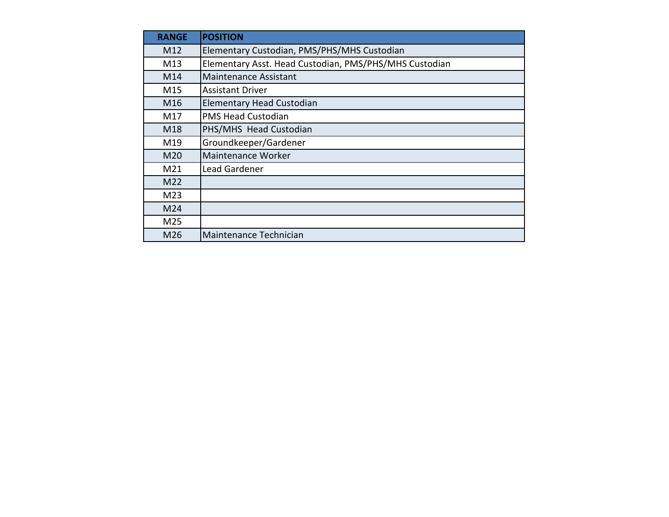| <b>RANGE</b>    | <b>POSITION</b>                                        |
|-----------------|--------------------------------------------------------|
| M <sub>12</sub> | Elementary Custodian, PMS/PHS/MHS Custodian            |
| M13             | Elementary Asst. Head Custodian, PMS/PHS/MHS Custodian |
| M14             | <b>Maintenance Assistant</b>                           |
| M15             | <b>Assistant Driver</b>                                |
| M <sub>16</sub> | <b>Elementary Head Custodian</b>                       |
| M17             | <b>PMS Head Custodian</b>                              |
| M <sub>18</sub> | PHS/MHS Head Custodian                                 |
| M19             | Groundkeeper/Gardener                                  |
| M <sub>20</sub> | <b>Maintenance Worker</b>                              |
| M21             | Lead Gardener                                          |
| M22             |                                                        |
| M <sub>23</sub> |                                                        |
| M24             |                                                        |
| M25             |                                                        |
| M26             | Maintenance Technician                                 |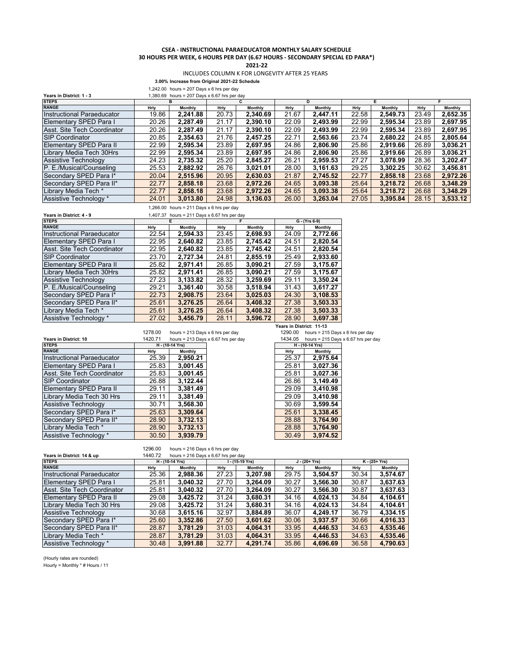#### **CSEA ‐ INSTRUCTIONAL PARAEDUCATOR MONTHLY SALARY SCHEDULE 30 HOURS PER WEEK, 6 HOURS PER DAY (6.67 HOURS ‐ SECONDARY SPECIAL ED PARA\*)**

**2021‐22**

INCLUDES COLUMN K FOR LONGEVITY AFTER 25 YEARS

**3.00% Increase from Original 2021-22 Schedule**

1,242.00 hours = 207 Days  $x$  6 hrs per day **Years in District: 1 - 3** 1,380.69 hours = 207 Days x 6.67 hrs per district: 1 - 3

| 1 GA 13 111 DI 3 U 1 C L. 1 - J<br>$1,000.00$ ilouis $-$ 201 Days A 0.01 ills per day |       |                |       |          |       |                |       |          |       |          |
|---------------------------------------------------------------------------------------|-------|----------------|-------|----------|-------|----------------|-------|----------|-------|----------|
| <b>STEPS</b>                                                                          |       |                |       |          |       |                |       |          |       |          |
| <b>RANGE</b>                                                                          | Hrly  | <b>Monthly</b> | Hrly  | Monthly  | Hrly  | <b>Monthly</b> | Hrly  | Monthly  | Hrly  | Monthly  |
| Instructional Paraeducator                                                            | 19.86 | 2.241.88       | 20.73 | 2.340.69 | 21.67 | 2.447.11       | 22.58 | 2.549.73 | 23.49 | 2,652.35 |
| Elementary SPED Para I                                                                | 20.26 | 2,287.49       | 21.17 | 2.390.10 | 22.09 | 2,493.99       | 22.99 | 2.595.34 | 23.89 | 2,697.95 |
| Asst. Site Tech Coordinator                                                           | 20.26 | 2.287.49       | 21.17 | 2.390.10 | 22.09 | 2.493.99       | 22.99 | 2.595.34 | 23.89 | 2.697.95 |
| <b>SIP Coordinator</b>                                                                | 20.85 | 2.354.63       | 21.76 | 2.457.25 | 22.71 | 2,563.66       | 23.74 | 2.680.22 | 24.85 | 2,805.64 |
| Elementary SPED Para II                                                               | 22.99 | 2,595.34       | 23.89 | 2,697.95 | 24.86 | 2,806.90       | 25.86 | 2.919.66 | 26.89 | 3,036.21 |
| Library Media Tech 30Hrs                                                              | 22.99 | 2.595.34       | 23.89 | 2,697.95 | 24.86 | 2,806.90       | 25.86 | 2.919.66 | 26.89 | 3,036.21 |
| Assistive Technology                                                                  | 24.23 | 2,735.32       | 25.20 | 2.845.27 | 26.21 | 2.959.53       | 27.27 | 3.078.99 | 28.36 | 3,202.47 |
| P. E./Musical/Counseling                                                              | 25.53 | 2.882.92       | 26.76 | 3.021.01 | 28.00 | 3,161.63       | 29.25 | 3.302.25 | 30.62 | 3,456.81 |
| Secondary SPED Para I*                                                                | 20.04 | 2.515.96       | 20.95 | 2.630.03 | 21.87 | 2.745.52       | 22.77 | 2.858.18 | 23.68 | 2.972.26 |
| Secondary SPED Para II*                                                               | 22.77 | 2.858.18       | 23.68 | 2,972.26 | 24.65 | 3.093.38       | 25.64 | 3.218.72 | 26.68 | 3,348.29 |
| Library Media Tech *                                                                  | 22.77 | 2,858.18       | 23.68 | 2,972.26 | 24.65 | 3,093.38       | 25.64 | 3,218.72 | 26.68 | 3,348.29 |
| Assistive Technology *                                                                | 24.01 | 3.013.80       | 24.98 | 3.136.03 | 26.00 | 3,263.04       | 27.05 | 3,395.84 | 28.15 | 3,533.12 |
|                                                                                       |       |                |       |          |       |                |       |          |       |          |

|                             | 1,266.00 hours = 211 Days x 6 hrs per day    |          |       |          |                 |          |  |  |  |  |
|-----------------------------|----------------------------------------------|----------|-------|----------|-----------------|----------|--|--|--|--|
| Years in District: 4 - 9    | 1.407.37 hours = 211 Days x 6.67 hrs per day |          |       |          |                 |          |  |  |  |  |
| <b>STEPS</b>                |                                              | Е        |       |          | $G - (Yrs 6-9)$ |          |  |  |  |  |
| <b>RANGE</b>                | Hrly                                         | Monthly  | Hrly  | Monthly  | Hrly            | Monthly  |  |  |  |  |
| Instructional Paraeducator  | 22.54                                        | 2,594.33 | 23.45 | 2,698.93 | 24.09           | 2,772.66 |  |  |  |  |
| Elementary SPED Para I      | 22.95                                        | 2,640.82 | 23.85 | 2,745.42 | 24.51           | 2,820.54 |  |  |  |  |
| Asst. Site Tech Coordinator | 22.95                                        | 2,640.82 | 23.85 | 2,745.42 | 24.51           | 2,820.54 |  |  |  |  |
| <b>SIP Coordinator</b>      | 23.70                                        | 2.727.34 | 24.81 | 2.855.19 | 25.49           | 2.933.60 |  |  |  |  |
| Elementary SPED Para II     | 25.82                                        | 2.971.41 | 26.85 | 3,090.21 | 27.59           | 3.175.67 |  |  |  |  |
| Library Media Tech 30Hrs    | 25.82                                        | 2.971.41 | 26.85 | 3,090.21 | 27.59           | 3,175.67 |  |  |  |  |
| <b>Assistive Technology</b> | 27.23                                        | 3,133.82 | 28.32 | 3.259.69 | 29.11           | 3,350.24 |  |  |  |  |
| P. E./Musical/Counseling    | 29.21                                        | 3.361.40 | 30.58 | 3,518.94 | 31.43           | 3.617.27 |  |  |  |  |
| Secondary SPED Para I*      | 22.73                                        | 2.908.75 | 23.64 | 3.025.03 | 24.30           | 3.108.53 |  |  |  |  |
| Secondary SPED Para II*     | 25.61                                        | 3.276.25 | 26.64 | 3.408.32 | 27.38           | 3,503.33 |  |  |  |  |
| Library Media Tech *        | 25.61                                        | 3.276.25 | 26.64 | 3.408.32 | 27.38           | 3.503.33 |  |  |  |  |

Assistive Technology \* 27.02 **3,456.79** 28.11 **3,596.72** 28.90 **3,697.38**

|                             |         |                                    |                                       | Years in District: 11-13 |                                    |  |  |  |  |
|-----------------------------|---------|------------------------------------|---------------------------------------|--------------------------|------------------------------------|--|--|--|--|
|                             | 1278.00 | hours = $213$ Days x 6 hrs per day |                                       | 1290.00                  | hours = $215$ Days x 6 hrs per day |  |  |  |  |
| Years in District: 10       | 1420.71 |                                    | hours = $213$ Days x 6.67 hrs per day | 1434.05                  | hours = $215$ Days x 6.67 hrs per  |  |  |  |  |
| <b>STEPS</b>                |         | H - (10-14 Yrs)                    |                                       |                          | H - (10-14 Yrs)                    |  |  |  |  |
| <b>RANGE</b>                | Hrly    | Monthly                            |                                       | Hrly                     | Monthly                            |  |  |  |  |
| Instructional Paraeducator  | 25.39   | 2,950.21                           |                                       | 25.37                    | 2,975.64                           |  |  |  |  |
| Elementary SPED Para I      | 25.83   | 3.001.45                           |                                       | 25.81                    | 3.027.36                           |  |  |  |  |
| Asst. Site Tech Coordinator | 25.83   | 3.001.45                           |                                       | 25.81                    | 3.027.36                           |  |  |  |  |
| <b>ISIP Coordinator</b>     | 26.88   | 3.122.44                           |                                       | 26.86                    | 3.149.49                           |  |  |  |  |
| IElementarv SPED Para II    | 29.11   | 3.381.49                           |                                       | 29.09                    | 3.410.98                           |  |  |  |  |
| Library Media Tech 30 Hrs   | 29.11   | 3.381.49                           |                                       | 29.09                    | 3.410.98                           |  |  |  |  |
| Assistive Technology        | 30.71   | 3.568.30                           |                                       | 30.69                    | 3,599.54                           |  |  |  |  |
| Secondary SPED Para I*      | 25.63   | 3.309.64                           |                                       | 25.61                    | 3.338.45                           |  |  |  |  |
| Secondary SPED Para II*     | 28.90   | 3.732.13                           |                                       | 28.88                    | 3.764.90                           |  |  |  |  |
| Library Media Tech *        | 28.90   | 3.732.13                           |                                       | 28.88                    | 3.764.90                           |  |  |  |  |
| Assistive Technology *      | 30.50   | 3.939.79                           |                                       | 30.49                    | 3.974.52                           |  |  |  |  |

| , a , o , . o ,  o po. aa, |         |                    |
|----------------------------|---------|--------------------|
| Jays x 6.67 hrs per day    | 1434.05 | hours = $215$ Days |
|                            |         | H - (10-14 Yrs)    |
|                            | Hrly    | <b>Monthly</b>     |
| 21                         | 25.37   | 2,975.64           |
| 15                         | 25.81   | 3.027.36           |
| 15                         | 25.81   | 3.027.36           |
| 14                         | 26.86   | 3.149.49           |
| 19                         | 29.09   | 3,410.98           |
| 19                         | 29.09   | 3,410.98           |
| 30                         | 30.69   | 3,599.54           |
| $\overline{54}$            | 25.61   | 3.338.45           |
| 13                         | 28.88   | 3.764.90           |
| $\overline{13}$            | 28.88   | 3.764.90           |

| 3 111 PRINT 11-19 |  |                                |  |  |
|-------------------|--|--------------------------------|--|--|
| 290.00            |  | hours = $215$ Days x 6 hrs per |  |  |

**hours = 215 Days x 6.67 hrs per day** 

| LINIUI I IVIUUIU TUUT             | 20.00   | .                                     |       |                   | 20.00 |                  |       |                  |
|-----------------------------------|---------|---------------------------------------|-------|-------------------|-------|------------------|-------|------------------|
| Assistive Technology *            | 30.50   | 3.939.79                              |       |                   | 30.49 | 3.974.52         |       |                  |
|                                   |         |                                       |       |                   |       |                  |       |                  |
|                                   | 1296.00 | hours = $216$ Days x 6 hrs per day    |       |                   |       |                  |       |                  |
| Years in District: 14 & up        | 1440.72 | hours = $216$ Days x 6.67 hrs per day |       |                   |       |                  |       |                  |
| <b>STEPS</b>                      |         | H - (10-14 Yrs)                       |       | $1 - (15-19$ Yrs) |       | $J - (20 + Yrs)$ |       | $K - (25 + Yrs)$ |
| <b>RANGE</b>                      | Hrlv    | Monthly                               | Hrlv  | Monthly           | Hrly  | Monthly          | Hrlv  | Monthly          |
| <b>Instructional Paraeducator</b> | 25.36   | 2.988.36                              | 27.23 | 3.207.98          | 29.75 | 3.504.57         | 30.34 | 3.574.67         |
| Elementary SPED Para I            | 25.81   | 3.040.32                              | 27.70 | 3.264.09          | 30.27 | 3.566.30         | 30.87 | 3.637.63         |
| Asst. Site Tech Coordinator       | 25.81   | 3.040.32                              | 27.70 | 3.264.09          | 30.27 | 3.566.30         | 30.87 | 3.637.63         |
| Elementary SPED Para II           | 29.08   | 3.425.72                              | 31.24 | 3.680.31          | 34.16 | 4.024.13         | 34.84 | 4,104.61         |
| Library Media Tech 30 Hrs         | 29.08   | 3.425.72                              | 31.24 | 3.680.31          | 34.16 | 4.024.13         | 34.84 | 4.104.61         |
| Assistive Technology              | 30.68   | 3.615.16                              | 32.97 | 3.884.89          | 36.07 | 4.249.17         | 36.79 | 4.334.15         |
| Secondary SPED Para I*            | 25.60   | 3.352.86                              | 27.50 | 3.601.62          | 30.06 | 3.937.57         | 30.66 | 4.016.33         |
| Secondary SPED Para II*           | 28.87   | 3.781.29                              | 31.03 | 4.064.31          | 33.95 | 4.446.53         | 34.63 | 4.535.46         |
| Library Media Tech *              | 28.87   | 3.781.29                              | 31.03 | 4.064.31          | 33.95 | 4.446.53         | 34.63 | 4.535.46         |
| Assistive Technology *            | 30.48   | 3.991.88                              | 32.77 | 4.291.74          | 35.86 | 4.696.69         | 36.58 | 4.790.63         |
|                                   |         |                                       |       |                   |       |                  |       |                  |

(Hourly rates are rounded)

Hourly = Monthly \* # Hours / 11